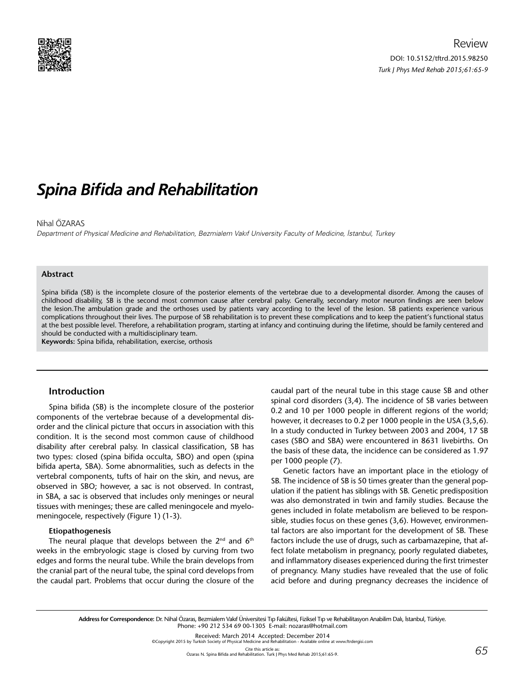

# *Spina Bifida and Rehabilitation*

### Nihal ÖZARAS

Department of Physical Medicine and Rehabilitation, Bezmialem Vakıf University Faculty of Medicine, İstanbul, Turkey

#### **Abstract**

Spina bifida (SB) is the incomplete closure of the posterior elements of the vertebrae due to a developmental disorder. Among the causes of childhood disability, SB is the second most common cause after cerebral palsy. Generally, secondary motor neuron findings are seen below the lesion.The ambulation grade and the orthoses used by patients vary according to the level of the lesion. SB patients experience various complications throughout their lives. The purpose of SB rehabilitation is to prevent these complications and to keep the patient's functional status at the best possible level. Therefore, a rehabilitation program, starting at infancy and continuing during the lifetime, should be family centered and should be conducted with a multidisciplinary team.

**Keywords:** Spina bifida, rehabilitation, exercise, orthosis

### **Introduction**

Spina bifida (SB) is the incomplete closure of the posterior components of the vertebrae because of a developmental disorder and the clinical picture that occurs in association with this condition. It is the second most common cause of childhood disability after cerebral palsy. In classical classification, SB has two types: closed (spina bifida occulta, SBO) and open (spina bifida aperta, SBA). Some abnormalities, such as defects in the vertebral components, tufts of hair on the skin, and nevus, are observed in SBO; however, a sac is not observed. In contrast, in SBA, a sac is observed that includes only meninges or neural tissues with meninges; these are called meningocele and myelomeningocele, respectively (Figure 1) (1-3).

#### **Etiopathogenesis**

The neural plaque that develops between the  $2^{nd}$  and  $6^{th}$ weeks in the embryologic stage is closed by curving from two edges and forms the neural tube. While the brain develops from the cranial part of the neural tube, the spinal cord develops from the caudal part. Problems that occur during the closure of the caudal part of the neural tube in this stage cause SB and other spinal cord disorders (3,4). The incidence of SB varies between 0.2 and 10 per 1000 people in different regions of the world; however, it decreases to 0.2 per 1000 people in the USA (3,5,6). In a study conducted in Turkey between 2003 and 2004, 17 SB cases (SBO and SBA) were encountered in 8631 livebirths. On the basis of these data, the incidence can be considered as 1.97 per 1000 people (7).

Genetic factors have an important place in the etiology of SB. The incidence of SB is 50 times greater than the general population if the patient has siblings with SB. Genetic predisposition was also demonstrated in twin and family studies. Because the genes included in folate metabolism are believed to be responsible, studies focus on these genes (3,6). However, environmental factors are also important for the development of SB. These factors include the use of drugs, such as carbamazepine, that affect folate metabolism in pregnancy, poorly regulated diabetes, and inflammatory diseases experienced during the first trimester of pregnancy. Many studies have revealed that the use of folic acid before and during pregnancy decreases the incidence of

©Copyright 2015 by Turkish Society of Physical Medicine and Rehabilitation - Available online at www.ftrdergisi.com

Cite this article as: Özaras N. Spina Bifida and Rehabilitation. Turk J Phys Med Rehab 2015;61:65-9.

**Address for Correspondence:** Dr. Nihal Özaras, Bezmialem Vakıf Üniversitesi Tıp Fakültesi, Fiziksel Tıp ve Rehabilitasyon Anabilim Dalı, İstanbul, Türkiye. Phone: +90 212 534 69 00-1305 E-mail: nozaras@hotmail.com

Received: March 2014 Accepted: December 2014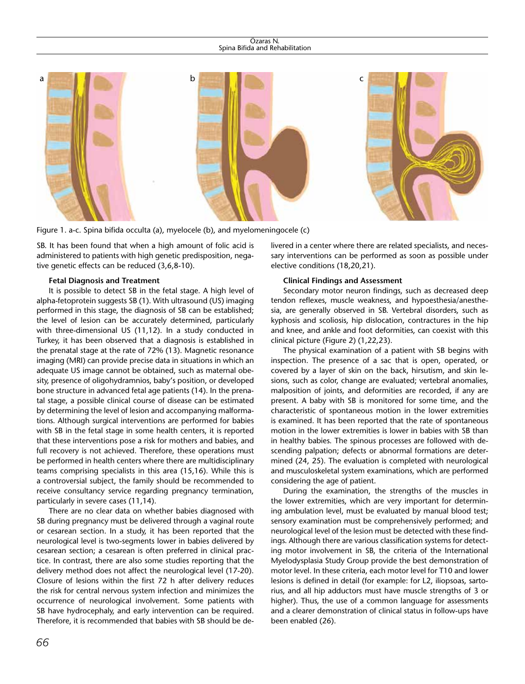#### Özaras N. Spina Bifida and Rehabilitation



Figure 1. a-c. Spina bifida occulta (a), myelocele (b), and myelomeningocele (c)

SB. It has been found that when a high amount of folic acid is administered to patients with high genetic predisposition, negative genetic effects can be reduced (3,6,8-10).

#### **Fetal Diagnosis and Treatment**

It is possible to detect SB in the fetal stage. A high level of alpha-fetoprotein suggests SB (1). With ultrasound (US) imaging performed in this stage, the diagnosis of SB can be established; the level of lesion can be accurately determined, particularly with three-dimensional US (11,12). In a study conducted in Turkey, it has been observed that a diagnosis is established in the prenatal stage at the rate of 72% (13). Magnetic resonance imaging (MRI) can provide precise data in situations in which an adequate US image cannot be obtained, such as maternal obesity, presence of oligohydramnios, baby's position, or developed bone structure in advanced fetal age patients (14). In the prenatal stage, a possible clinical course of disease can be estimated by determining the level of lesion and accompanying malformations. Although surgical interventions are performed for babies with SB in the fetal stage in some health centers, it is reported that these interventions pose a risk for mothers and babies, and full recovery is not achieved. Therefore, these operations must be performed in health centers where there are multidisciplinary teams comprising specialists in this area (15,16). While this is a controversial subject, the family should be recommended to receive consultancy service regarding pregnancy termination, particularly in severe cases (11,14).

There are no clear data on whether babies diagnosed with SB during pregnancy must be delivered through a vaginal route or cesarean section. In a study, it has been reported that the neurological level is two-segments lower in babies delivered by cesarean section; a cesarean is often preferred in clinical practice. In contrast, there are also some studies reporting that the delivery method does not affect the neurological level (17-20). Closure of lesions within the first 72 h after delivery reduces the risk for central nervous system infection and minimizes the occurrence of neurological involvement. Some patients with SB have hydrocephaly, and early intervention can be required. Therefore, it is recommended that babies with SB should be delivered in a center where there are related specialists, and necessary interventions can be performed as soon as possible under elective conditions (18,20,21).

## **Clinical Findings and Assessment**

Secondary motor neuron findings, such as decreased deep tendon reflexes, muscle weakness, and hypoesthesia/anesthesia, are generally observed in SB. Vertebral disorders, such as kyphosis and scoliosis, hip dislocation, contractures in the hip and knee, and ankle and foot deformities, can coexist with this clinical picture (Figure 2) (1,22,23).

The physical examination of a patient with SB begins with inspection. The presence of a sac that is open, operated, or covered by a layer of skin on the back, hirsutism, and skin lesions, such as color, change are evaluated; vertebral anomalies, malposition of joints, and deformities are recorded, if any are present. A baby with SB is monitored for some time, and the characteristic of spontaneous motion in the lower extremities is examined. It has been reported that the rate of spontaneous motion in the lower extremities is lower in babies with SB than in healthy babies. The spinous processes are followed with descending palpation; defects or abnormal formations are determined (24, 25). The evaluation is completed with neurological and musculoskeletal system examinations, which are performed considering the age of patient.

During the examination, the strengths of the muscles in the lower extremities, which are very important for determining ambulation level, must be evaluated by manual blood test; sensory examination must be comprehensively performed; and neurological level of the lesion must be detected with these findings. Although there are various classification systems for detecting motor involvement in SB, the criteria of the International Myelodysplasia Study Group provide the best demonstration of motor level. In these criteria, each motor level for T10 and lower lesions is defined in detail (for example: for L2, iliopsoas, sartorius, and all hip adductors must have muscle strengths of 3 or higher). Thus, the use of a common language for assessments and a clearer demonstration of clinical status in follow-ups have been enabled (26).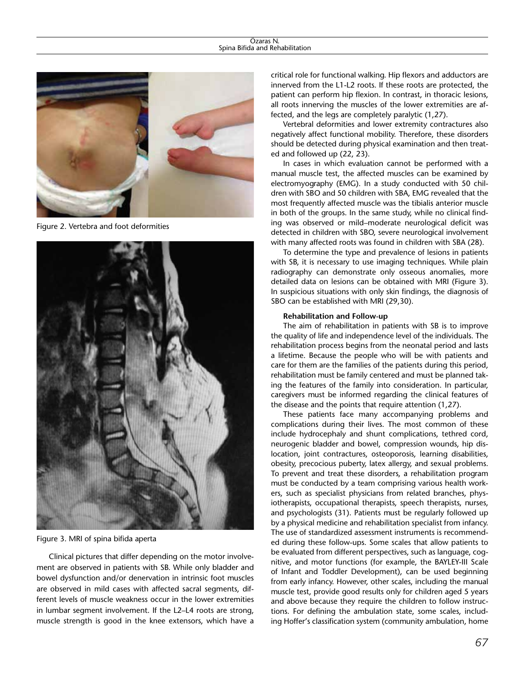

Figure 2. Vertebra and foot deformities



Figure 3. MRI of spina bifida aperta

Clinical pictures that differ depending on the motor involvement are observed in patients with SB. While only bladder and bowel dysfunction and/or denervation in intrinsic foot muscles are observed in mild cases with affected sacral segments, different levels of muscle weakness occur in the lower extremities in lumbar segment involvement. If the L2–L4 roots are strong, muscle strength is good in the knee extensors, which have a

critical role for functional walking. Hip flexors and adductors are innerved from the L1-L2 roots. If these roots are protected, the patient can perform hip flexion. In contrast, in thoracic lesions, all roots innerving the muscles of the lower extremities are affected, and the legs are completely paralytic (1,27).

Vertebral deformities and lower extremity contractures also negatively affect functional mobility. Therefore, these disorders should be detected during physical examination and then treated and followed up (22, 23).

In cases in which evaluation cannot be performed with a manual muscle test, the affected muscles can be examined by electromyography (EMG). In a study conducted with 50 children with SBO and 50 children with SBA, EMG revealed that the most frequently affected muscle was the tibialis anterior muscle in both of the groups. In the same study, while no clinical finding was observed or mild–moderate neurological deficit was detected in children with SBO, severe neurological involvement with many affected roots was found in children with SBA (28).

To determine the type and prevalence of lesions in patients with SB, it is necessary to use imaging techniques. While plain radiography can demonstrate only osseous anomalies, more detailed data on lesions can be obtained with MRI (Figure 3). In suspicious situations with only skin findings, the diagnosis of SBO can be established with MRI (29,30).

#### **Rehabilitation and Follow-up**

The aim of rehabilitation in patients with SB is to improve the quality of life and independence level of the individuals. The rehabilitation process begins from the neonatal period and lasts a lifetime. Because the people who will be with patients and care for them are the families of the patients during this period, rehabilitation must be family centered and must be planned taking the features of the family into consideration. In particular, caregivers must be informed regarding the clinical features of the disease and the points that require attention (1,27).

These patients face many accompanying problems and complications during their lives. The most common of these include hydrocephaly and shunt complications, tethred cord, neurogenic bladder and bowel, compression wounds, hip dislocation, joint contractures, osteoporosis, learning disabilities, obesity, precocious puberty, latex allergy, and sexual problems. To prevent and treat these disorders, a rehabilitation program must be conducted by a team comprising various health workers, such as specialist physicians from related branches, physiotherapists, occupational therapists, speech therapists, nurses, and psychologists (31). Patients must be regularly followed up by a physical medicine and rehabilitation specialist from infancy. The use of standardized assessment instruments is recommended during these follow-ups. Some scales that allow patients to be evaluated from different perspectives, such as language, cognitive, and motor functions (for example, the BAYLEY-III Scale of Infant and Toddler Development), can be used beginning from early infancy. However, other scales, including the manual muscle test, provide good results only for children aged 5 years and above because they require the children to follow instructions. For defining the ambulation state, some scales, including Hoffer's classification system (community ambulation, home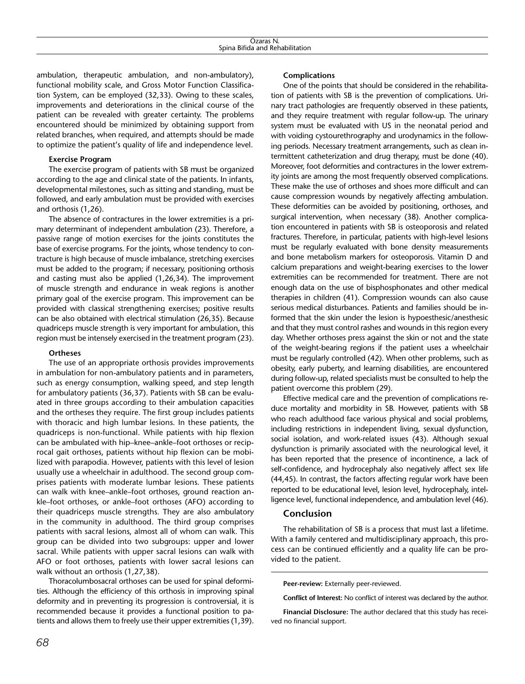ambulation, therapeutic ambulation, and non-ambulatory), functional mobility scale, and Gross Motor Function Classification System, can be employed (32,33). Owing to these scales, improvements and deteriorations in the clinical course of the patient can be revealed with greater certainty. The problems encountered should be minimized by obtaining support from related branches, when required, and attempts should be made to optimize the patient's quality of life and independence level.

### **Exercise Program**

The exercise program of patients with SB must be organized according to the age and clinical state of the patients. In infants, developmental milestones, such as sitting and standing, must be followed, and early ambulation must be provided with exercises and orthosis (1,26).

The absence of contractures in the lower extremities is a primary determinant of independent ambulation (23). Therefore, a passive range of motion exercises for the joints constitutes the base of exercise programs. For the joints, whose tendency to contracture is high because of muscle imbalance, stretching exercises must be added to the program; if necessary, positioning orthosis and casting must also be applied (1,26,34). The improvement of muscle strength and endurance in weak regions is another primary goal of the exercise program. This improvement can be provided with classical strengthening exercises; positive results can be also obtained with electrical stimulation (26,35). Because quadriceps muscle strength is very important for ambulation, this region must be intensely exercised in the treatment program (23).

#### **Ortheses**

The use of an appropriate orthosis provides improvements in ambulation for non-ambulatory patients and in parameters, such as energy consumption, walking speed, and step length for ambulatory patients (36,37). Patients with SB can be evaluated in three groups according to their ambulation capacities and the ortheses they require. The first group includes patients with thoracic and high lumbar lesions. In these patients, the quadriceps is non-functional. While patients with hip flexion can be ambulated with hip–knee–ankle–foot orthoses or reciprocal gait orthoses, patients without hip flexion can be mobilized with parapodia. However, patients with this level of lesion usually use a wheelchair in adulthood. The second group comprises patients with moderate lumbar lesions. These patients can walk with knee–ankle–foot orthoses, ground reaction ankle–foot orthoses, or ankle–foot orthoses (AFO) according to their quadriceps muscle strengths. They are also ambulatory in the community in adulthood. The third group comprises patients with sacral lesions, almost all of whom can walk. This group can be divided into two subgroups: upper and lower sacral. While patients with upper sacral lesions can walk with AFO or foot orthoses, patients with lower sacral lesions can walk without an orthosis (1,27,38).

Thoracolumbosacral orthoses can be used for spinal deformities. Although the efficiency of this orthosis in improving spinal deformity and in preventing its progression is controversial, it is recommended because it provides a functional position to patients and allows them to freely use their upper extremities (1,39).

# **Complications**

One of the points that should be considered in the rehabilitation of patients with SB is the prevention of complications. Urinary tract pathologies are frequently observed in these patients, and they require treatment with regular follow-up. The urinary system must be evaluated with US in the neonatal period and with voiding cystourethrography and urodynamics in the following periods. Necessary treatment arrangements, such as clean intermittent catheterization and drug therapy, must be done (40). Moreover, foot deformities and contractures in the lower extremity joints are among the most frequently observed complications. These make the use of orthoses and shoes more difficult and can cause compression wounds by negatively affecting ambulation. These deformities can be avoided by positioning, orthoses, and surgical intervention, when necessary (38). Another complication encountered in patients with SB is osteoporosis and related fractures. Therefore, in particular, patients with high-level lesions must be regularly evaluated with bone density measurements and bone metabolism markers for osteoporosis. Vitamin D and calcium preparations and weight-bearing exercises to the lower extremities can be recommended for treatment. There are not enough data on the use of bisphosphonates and other medical therapies in children (41). Compression wounds can also cause serious medical disturbances. Patients and families should be informed that the skin under the lesion is hypoesthesic/anesthesic and that they must control rashes and wounds in this region every day. Whether orthoses press against the skin or not and the state of the weight-bearing regions if the patient uses a wheelchair must be regularly controlled (42). When other problems, such as obesity, early puberty, and learning disabilities, are encountered during follow-up, related specialists must be consulted to help the patient overcome this problem (29).

Effective medical care and the prevention of complications reduce mortality and morbidity in SB. However, patients with SB who reach adulthood face various physical and social problems, including restrictions in independent living, sexual dysfunction, social isolation, and work-related issues (43). Although sexual dysfunction is primarily associated with the neurological level, it has been reported that the presence of incontinence, a lack of self-confidence, and hydrocephaly also negatively affect sex life (44,45). In contrast, the factors affecting regular work have been reported to be educational level, lesion level, hydrocephaly, intelligence level, functional independence, and ambulation level (46).

# **Conclusion**

The rehabilitation of SB is a process that must last a lifetime. With a family centered and multidisciplinary approach, this process can be continued efficiently and a quality life can be provided to the patient.

**Peer-review:** Externally peer-reviewed.

**Conflict of Interest:** No conflict of interest was declared by the author.

**Financial Disclosure:** The author declared that this study has received no financial support.